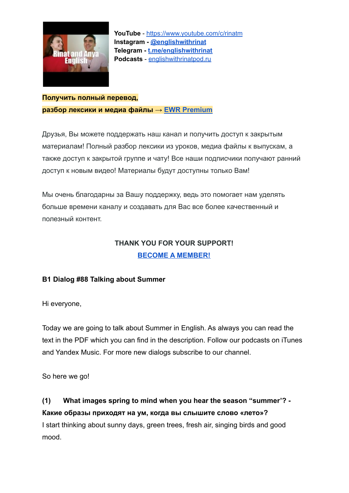

#### **Получить полный перевод, разбор лексики и медиа файлы → [EWR Premium](https://boosty.to/englishwithrinat/posts/81c3b2a3-5c96-4c32-96f1-4b1bb5bc809a?share=post_link)**

Друзья, Вы можете поддержать наш канал и получить доступ к закрытым материалам! Полный разбор лексики из уроков, медиа файлы к выпускам, а также доступ к закрытой группе и чату! Все наши подписчики получают ранний доступ к новым видео! Материалы будут доступны только Вам!

Мы очень благодарны за Вашу поддержку, ведь это помогает нам уделять больше времени каналу и создавать для Вас все более качественный и полезный контент.

### **THANK YOU FOR YOUR SUPPORT! [BECOME A MEMBER!](https://boosty.to/englishwithrinat)**

#### **B1 Dialog #88 Talking about Summer**

Hi everyone,

Today we are going to talk about Summer in English. As always you can read the text in the PDF which you can find in the description. Follow our podcasts on iTunes and Yandex Music. For more new dialogs subscribe to our channel.

So here we go!

**(1) What images spring to mind when you hear the season "summer'? - Какие образы приходят на ум, когда вы слышите слово «лето»?** I start thinking about sunny days, green trees, fresh air, singing birds and good mood.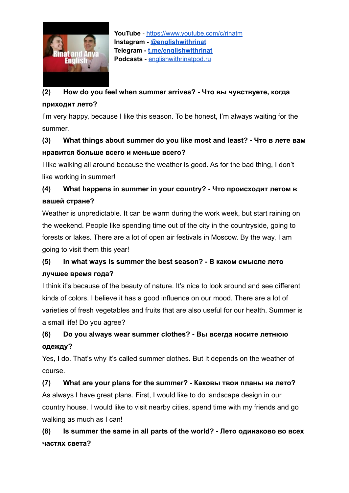

## **(2) How do you feel when summer arrives? - Что вы чувствуете, когда приходит лето?**

I'm very happy, because I like this season. To be honest, I'm always waiting for the summer.

### **(3) What things about summer do you like most and least? - Что в лете вам нравится больше всего и меньше всего?**

I like walking all around because the weather is good. As for the bad thing, I don't like working in summer!

# **(4) What happens in summer in your country? - Что происходит летом в вашей стране?**

Weather is unpredictable. It can be warm during the work week, but start raining on the weekend. People like spending time out of the city in the countryside, going to forests or lakes. There are a lot of open air festivals in Moscow. By the way, I am going to visit them this year!

## **(5) In what ways is summer the best season? - В каком смысле лето лучшее время года?**

I think it's because of the beauty of nature. It's nice to look around and see different kinds of colors. I believe it has a good influence on our mood. There are a lot of varieties of fresh vegetables and fruits that are also useful for our health. Summer is a small life! Do you agree?

## **(6) Do you always wear summer clothes? - Вы всегда носите летнюю одежду?**

Yes, I do. That's why it's called summer clothes. But It depends on the weather of course.

**(7) What are your plans for the summer? - Каковы твои планы на лето?** As always I have great plans. First, I would like to do landscape design in our country house. I would like to visit nearby cities, spend time with my friends and go walking as much as I can!

**(8) Is summer the same in all parts of the world? - Лето одинаково во всех частях света?**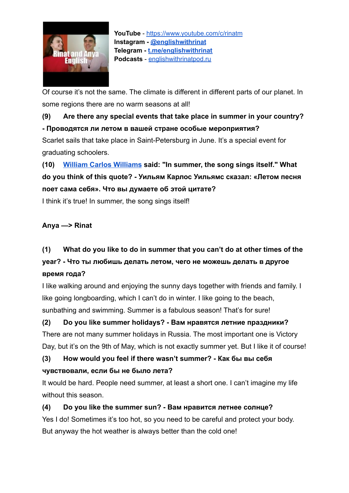

Of course it's not the same. The climate is different in different parts of our planet. In some regions there are no warm seasons at all!

### **(9) Are there any special events that take place in summer in your country? - Проводятся ли летом в вашей стране особые мероприятия?**

Scarlet sails that take place in Saint-Petersburg in June. It's a special event for graduating schoolers.

**(10) [William Carlos Williams](https://ru.wikipedia.org/wiki/%D0%A3%D0%B8%D0%BB%D1%8C%D1%8F%D0%BC%D1%81,_%D0%A3%D0%B8%D0%BB%D1%8C%D1%8F%D0%BC_%D0%9A%D0%B0%D1%80%D0%BB%D0%BE%D1%81) said: "In summer, the song sings itself." What do you think of this quote? - Уильям Карлос Уильямс сказал: «Летом песня поет сама себя». Что вы думаете об этой цитате?**

I think it's true! In summer, the song sings itself!

#### **Anya —> Rinat**

# **(1) What do you like to do in summer that you can't do at other times of the year? - Что ты любишь делать летом, чего не можешь делать в другое время года?**

I like walking around and enjoying the sunny days together with friends and family. I like going longboarding, which I can't do in winter. I like going to the beach, sunbathing and swimming. Summer is a fabulous season! That's for sure!

**(2) Do you like summer holidays? - Вам нравятся летние праздники?** There are not many summer holidays in Russia. The most important one is Victory Day, but it's on the 9th of May, which is not exactly summer yet. But I like it of course!

### **(3) How would you feel if there wasn't summer? - Как бы вы себя чувствовали, если бы не было лета?**

It would be hard. People need summer, at least a short one. I can't imagine my life without this season.

### **(4) Do you like the summer sun? - Вам нравится летнее солнце?** Yes I do! Sometimes it's too hot, so you need to be careful and protect your body.

But anyway the hot weather is always better than the cold one!